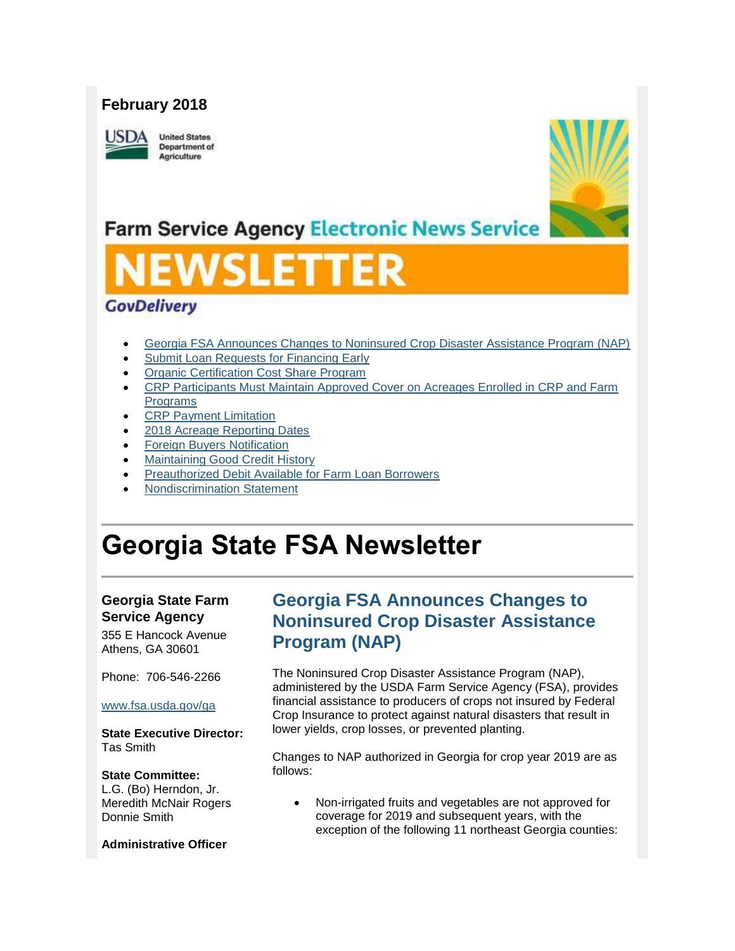#### **February 2018**

**ISDA** 

**United States** Department of Agriculture



# **Farm Service Agency Electronic News Service**

# SUETI

#### **GovDelivery**

- [Georgia FSA Announces Changes to Noninsured Crop Disaster Assistance Program \(NAP\)](#page-0-0)
- [Submit Loan Requests for Financing Early](#page-1-0)
- [Organic Certification Cost Share Program](#page-2-0)
- [CRP Participants Must Maintain Approved Cover on Acreages Enrolled in CRP and Farm](#page-2-1)  [Programs](#page-2-1)
- [CRP Payment Limitation](#page-3-0)
- [2018 Acreage Reporting Dates](#page-3-1)
- [Foreign Buyers Notification](#page-4-0)
- [Maintaining Good Credit History](#page-4-1)
- [Preauthorized Debit Available for Farm Loan Borrowers](#page-5-0)
- [Nondiscrimination Statement](#page-6-0)

# **Georgia State FSA Newsletter**

#### **Georgia State Farm Service Agency**

355 E Hancock Avenue Athens, GA 30601

Phone: 706-546-2266 [www.fsa.usda.gov/ga](http://www.fsa.usda.gov/ga)

**State Executive Director:** Tas Smith

#### **State Committee:**

L.G. (Bo) Herndon, Jr. Meredith McNair Rogers Donnie Smith

#### **Administrative Officer**

#### <span id="page-0-0"></span>**Georgia FSA Announces Changes to Noninsured Crop Disaster Assistance Program (NAP)**

The Noninsured Crop Disaster Assistance Program (NAP), administered by the USDA Farm Service Agency (FSA), provides financial assistance to producers of crops not insured by Federal Crop Insurance to protect against natural disasters that result in lower yields, crop losses, or prevented planting.

Changes to NAP authorized in Georgia for crop year 2019 are as follows:

 Non-irrigated fruits and vegetables are not approved for coverage for 2019 and subsequent years, with the exception of the following 11 northeast Georgia counties: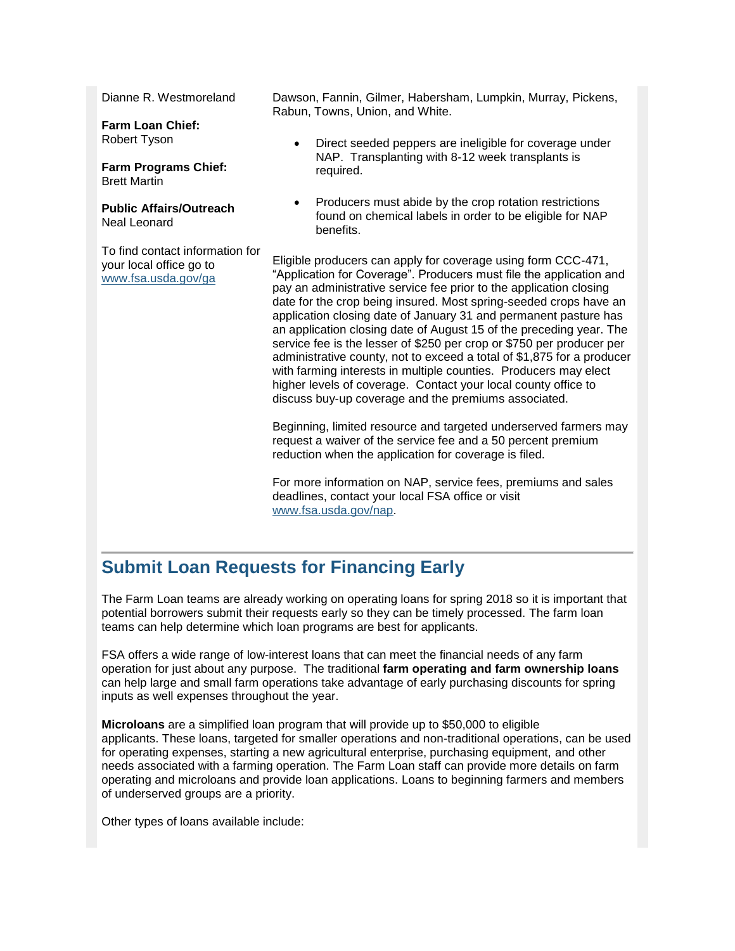Dianne R. Westmoreland

**Farm Loan Chief:** Robert Tyson

**Farm Programs Chief:** Brett Martin

**Public Affairs/Outreach** Neal Leonard

To find contact information for your local office go to [www.fsa.usda.gov/ga](http://www.fsa.usda.gov/ga)

Dawson, Fannin, Gilmer, Habersham, Lumpkin, Murray, Pickens, Rabun, Towns, Union, and White.

- Direct seeded peppers are ineligible for coverage under NAP. Transplanting with 8-12 week transplants is required.
- Producers must abide by the crop rotation restrictions found on chemical labels in order to be eligible for NAP benefits.

Eligible producers can apply for coverage using form CCC-471, "Application for Coverage". Producers must file the application and pay an administrative service fee prior to the application closing date for the crop being insured. Most spring-seeded crops have an application closing date of January 31 and permanent pasture has an application closing date of August 15 of the preceding year. The service fee is the lesser of \$250 per crop or \$750 per producer per administrative county, not to exceed a total of \$1,875 for a producer with farming interests in multiple counties. Producers may elect higher levels of coverage. Contact your local county office to discuss buy-up coverage and the premiums associated.

Beginning, limited resource and targeted underserved farmers may request a waiver of the service fee and a 50 percent premium reduction when the application for coverage is filed.

For more information on NAP, service fees, premiums and sales deadlines, contact your local FSA office or visit [www.fsa.usda.gov/nap.](http://www.fsa.usda.gov/nap)

#### <span id="page-1-0"></span>**Submit Loan Requests for Financing Early**

The Farm Loan teams are already working on operating loans for spring 2018 so it is important that potential borrowers submit their requests early so they can be timely processed. The farm loan teams can help determine which loan programs are best for applicants.

FSA offers a wide range of low-interest loans that can meet the financial needs of any farm operation for just about any purpose. The traditional **farm operating and farm ownership loans** can help large and small farm operations take advantage of early purchasing discounts for spring inputs as well expenses throughout the year.

**Microloans** are a simplified loan program that will provide up to \$50,000 to eligible applicants. These loans, targeted for smaller operations and non-traditional operations, can be used for operating expenses, starting a new agricultural enterprise, purchasing equipment, and other needs associated with a farming operation. The Farm Loan staff can provide more details on farm operating and microloans and provide loan applications. Loans to beginning farmers and members of underserved groups are a priority.

Other types of loans available include: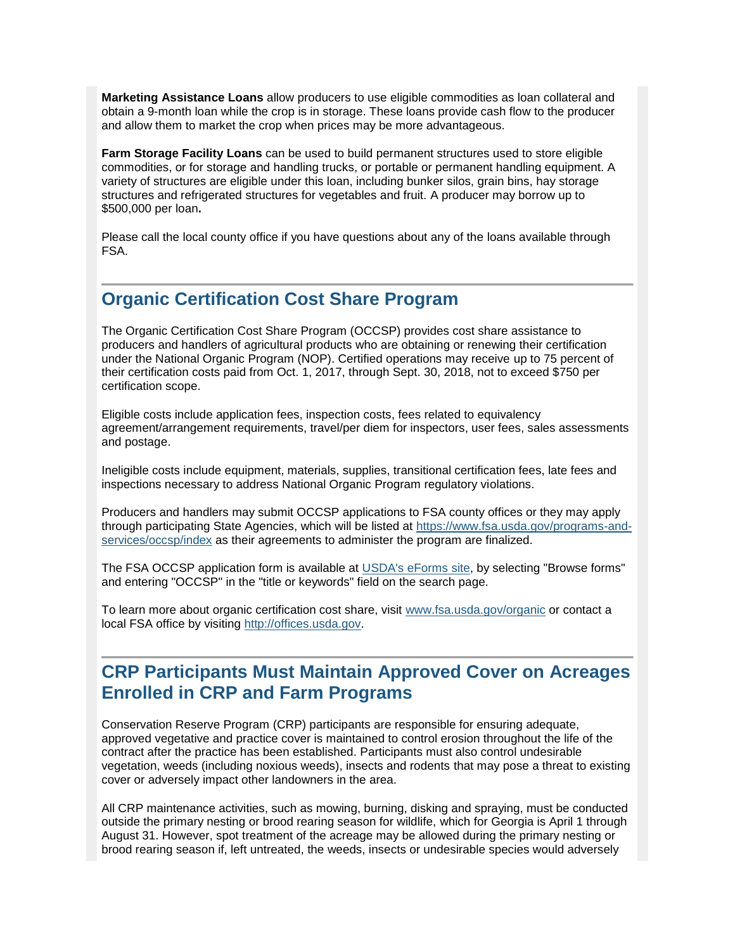**Marketing Assistance Loans** allow producers to use eligible commodities as loan collateral and obtain a 9-month loan while the crop is in storage. These loans provide cash flow to the producer and allow them to market the crop when prices may be more advantageous.

**Farm Storage Facility Loans** can be used to build permanent structures used to store eligible commodities, or for storage and handling trucks, or portable or permanent handling equipment. A variety of structures are eligible under this loan, including bunker silos, grain bins, hay storage structures and refrigerated structures for vegetables and fruit. A producer may borrow up to \$500,000 per loan**.**

Please call the local county office if you have questions about any of the loans available through FSA.

#### <span id="page-2-0"></span>**Organic Certification Cost Share Program**

The Organic Certification Cost Share Program (OCCSP) provides cost share assistance to producers and handlers of agricultural products who are obtaining or renewing their certification under the National Organic Program (NOP). Certified operations may receive up to 75 percent of their certification costs paid from Oct. 1, 2017, through Sept. 30, 2018, not to exceed \$750 per certification scope.

Eligible costs include application fees, inspection costs, fees related to equivalency agreement/arrangement requirements, travel/per diem for inspectors, user fees, sales assessments and postage.

Ineligible costs include equipment, materials, supplies, transitional certification fees, late fees and inspections necessary to address National Organic Program regulatory violations.

Producers and handlers may submit OCCSP applications to FSA county offices or they may apply through participating State Agencies, which will be listed at [https://www.fsa.usda.gov/programs-and](https://www.fsa.usda.gov/programs-and-services/occsp/index)[services/occsp/index](https://www.fsa.usda.gov/programs-and-services/occsp/index) as their agreements to administer the program are finalized.

The FSA OCCSP application form is available at [USDA's eForms site,](https://forms.sc.egov.usda.gov/eForms/welcomeAction.do?Home) by selecting "Browse forms" and entering "OCCSP" in the "title or keywords" field on the search page.

To learn more about organic certification cost share, visit [www.fsa.usda.gov/organic](http://www.fsa.usda.gov/organic) or contact a local FSA office by visiting [http://offices.usda.gov.](https://offices.sc.egov.usda.gov/locator/app)

#### <span id="page-2-1"></span>**CRP Participants Must Maintain Approved Cover on Acreages Enrolled in CRP and Farm Programs**

Conservation Reserve Program (CRP) participants are responsible for ensuring adequate, approved vegetative and practice cover is maintained to control erosion throughout the life of the contract after the practice has been established. Participants must also control undesirable vegetation, weeds (including noxious weeds), insects and rodents that may pose a threat to existing cover or adversely impact other landowners in the area.

All CRP maintenance activities, such as mowing, burning, disking and spraying, must be conducted outside the primary nesting or brood rearing season for wildlife, which for Georgia is April 1 through August 31. However, spot treatment of the acreage may be allowed during the primary nesting or brood rearing season if, left untreated, the weeds, insects or undesirable species would adversely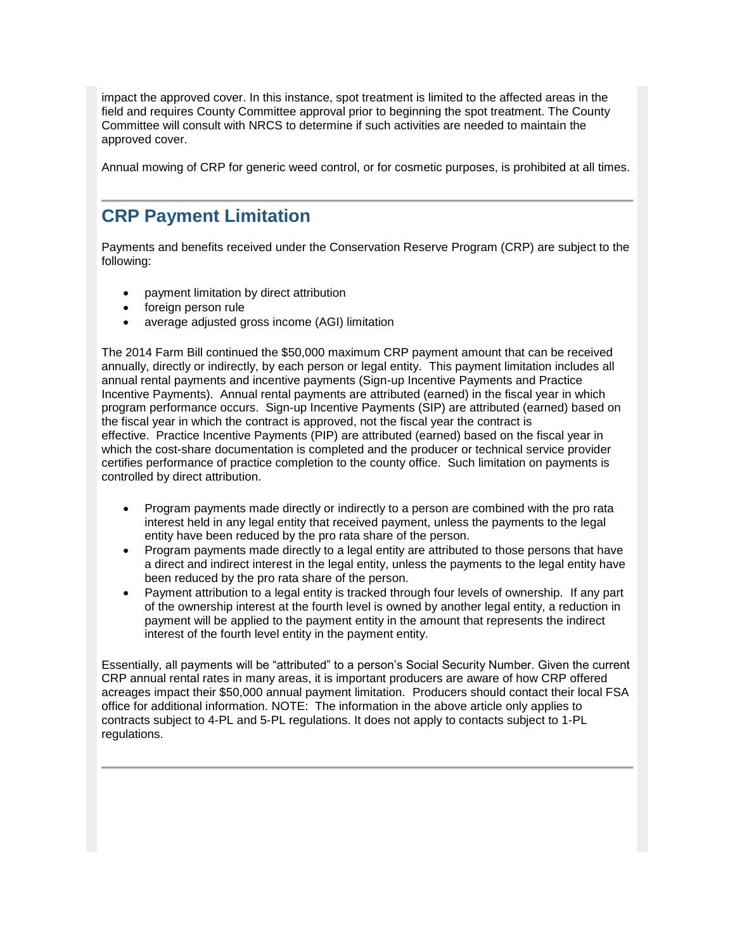impact the approved cover. In this instance, spot treatment is limited to the affected areas in the field and requires County Committee approval prior to beginning the spot treatment. The County Committee will consult with NRCS to determine if such activities are needed to maintain the approved cover.

Annual mowing of CRP for generic weed control, or for cosmetic purposes, is prohibited at all times.

#### <span id="page-3-0"></span>**CRP Payment Limitation**

Payments and benefits received under the Conservation Reserve Program (CRP) are subject to the following:

- payment limitation by direct attribution
- foreign person rule
- average adjusted gross income (AGI) limitation

The 2014 Farm Bill continued the \$50,000 maximum CRP payment amount that can be received annually, directly or indirectly, by each person or legal entity. This payment limitation includes all annual rental payments and incentive payments (Sign-up Incentive Payments and Practice Incentive Payments). Annual rental payments are attributed (earned) in the fiscal year in which program performance occurs. Sign-up Incentive Payments (SIP) are attributed (earned) based on the fiscal year in which the contract is approved, not the fiscal year the contract is effective. Practice Incentive Payments (PIP) are attributed (earned) based on the fiscal year in which the cost-share documentation is completed and the producer or technical service provider certifies performance of practice completion to the county office. Such limitation on payments is controlled by direct attribution.

- Program payments made directly or indirectly to a person are combined with the pro rata interest held in any legal entity that received payment, unless the payments to the legal entity have been reduced by the pro rata share of the person.
- Program payments made directly to a legal entity are attributed to those persons that have a direct and indirect interest in the legal entity, unless the payments to the legal entity have been reduced by the pro rata share of the person.
- Payment attribution to a legal entity is tracked through four levels of ownership. If any part of the ownership interest at the fourth level is owned by another legal entity, a reduction in payment will be applied to the payment entity in the amount that represents the indirect interest of the fourth level entity in the payment entity.

<span id="page-3-1"></span>Essentially, all payments will be "attributed" to a person's Social Security Number. Given the current CRP annual rental rates in many areas, it is important producers are aware of how CRP offered acreages impact their \$50,000 annual payment limitation. Producers should contact their local FSA office for additional information. NOTE: The information in the above article only applies to contracts subject to 4-PL and 5-PL regulations. It does not apply to contacts subject to 1-PL regulations.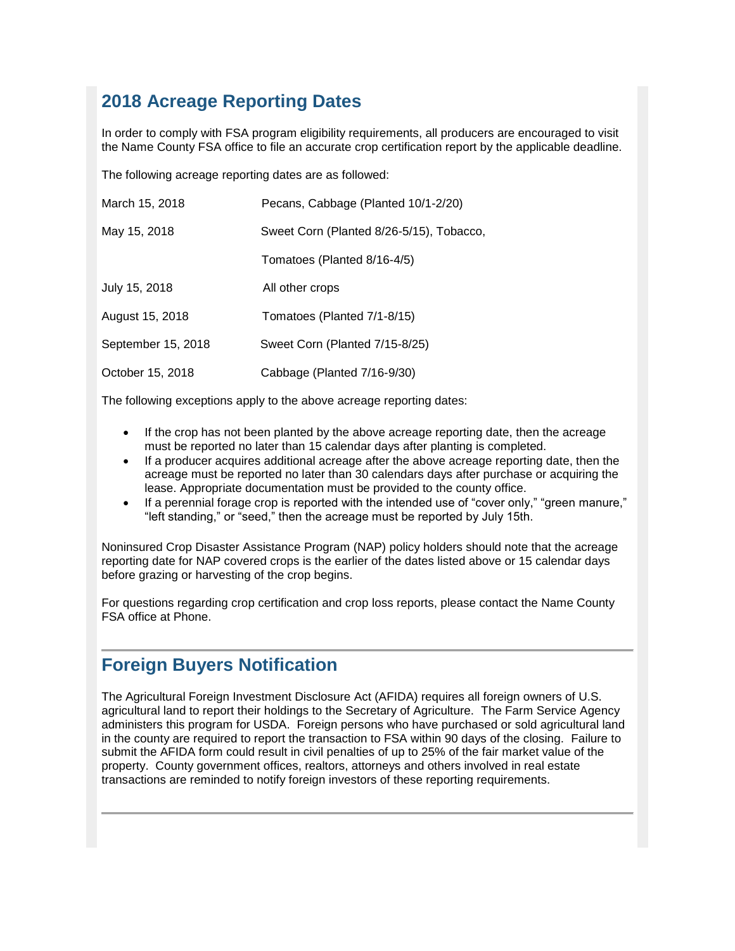## **2018 Acreage Reporting Dates**

In order to comply with FSA program eligibility requirements, all producers are encouraged to visit the Name County FSA office to file an accurate crop certification report by the applicable deadline.

The following acreage reporting dates are as followed:

| March 15, 2018     | Pecans, Cabbage (Planted 10/1-2/20)      |
|--------------------|------------------------------------------|
| May 15, 2018       | Sweet Corn (Planted 8/26-5/15), Tobacco, |
|                    | Tomatoes (Planted 8/16-4/5)              |
| July 15, 2018      | All other crops                          |
| August 15, 2018    | Tomatoes (Planted 7/1-8/15)              |
| September 15, 2018 | Sweet Corn (Planted 7/15-8/25)           |
| October 15, 2018   | Cabbage (Planted 7/16-9/30)              |

The following exceptions apply to the above acreage reporting dates:

- If the crop has not been planted by the above acreage reporting date, then the acreage must be reported no later than 15 calendar days after planting is completed.
- If a producer acquires additional acreage after the above acreage reporting date, then the acreage must be reported no later than 30 calendars days after purchase or acquiring the lease. Appropriate documentation must be provided to the county office.
- If a perennial forage crop is reported with the intended use of "cover only," "green manure," "left standing," or "seed," then the acreage must be reported by July 15th.

Noninsured Crop Disaster Assistance Program (NAP) policy holders should note that the acreage reporting date for NAP covered crops is the earlier of the dates listed above or 15 calendar days before grazing or harvesting of the crop begins.

For questions regarding crop certification and crop loss reports, please contact the Name County FSA office at Phone.

### <span id="page-4-0"></span>**Foreign Buyers Notification**

<span id="page-4-1"></span>The Agricultural Foreign Investment Disclosure Act (AFIDA) requires all foreign owners of U.S. agricultural land to report their holdings to the Secretary of Agriculture. The Farm Service Agency administers this program for USDA. Foreign persons who have purchased or sold agricultural land in the county are required to report the transaction to FSA within 90 days of the closing. Failure to submit the AFIDA form could result in civil penalties of up to 25% of the fair market value of the property. County government offices, realtors, attorneys and others involved in real estate transactions are reminded to notify foreign investors of these reporting requirements.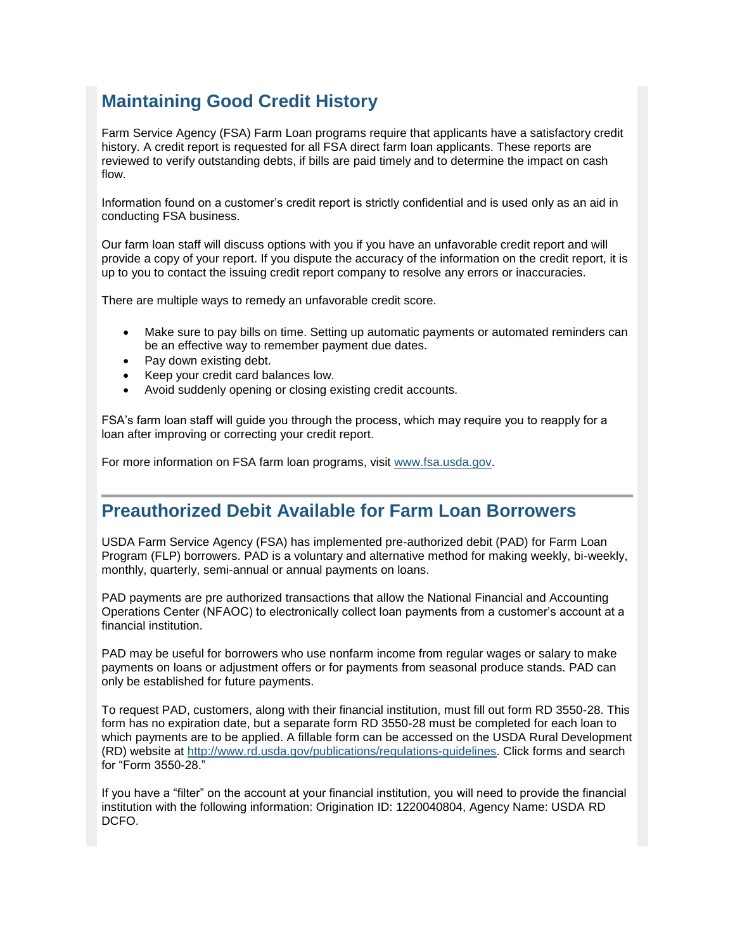### **Maintaining Good Credit History**

Farm Service Agency (FSA) Farm Loan programs require that applicants have a satisfactory credit history. A credit report is requested for all FSA direct farm loan applicants. These reports are reviewed to verify outstanding debts, if bills are paid timely and to determine the impact on cash flow.

Information found on a customer's credit report is strictly confidential and is used only as an aid in conducting FSA business.

Our farm loan staff will discuss options with you if you have an unfavorable credit report and will provide a copy of your report. If you dispute the accuracy of the information on the credit report, it is up to you to contact the issuing credit report company to resolve any errors or inaccuracies.

There are multiple ways to remedy an unfavorable credit score.

- Make sure to pay bills on time. Setting up automatic payments or automated reminders can be an effective way to remember payment due dates.
- Pay down existing debt.
- Keep your credit card balances low.
- Avoid suddenly opening or closing existing credit accounts.

FSA's farm loan staff will guide you through the process, which may require you to reapply for a loan after improving or correcting your credit report.

For more information on FSA farm loan programs, visit [www.fsa.usda.gov.](http://www.fsa.usda.gov/)

#### <span id="page-5-0"></span>**Preauthorized Debit Available for Farm Loan Borrowers**

USDA Farm Service Agency (FSA) has implemented pre-authorized debit (PAD) for Farm Loan Program (FLP) borrowers. PAD is a voluntary and alternative method for making weekly, bi-weekly, monthly, quarterly, semi-annual or annual payments on loans.

PAD payments are pre authorized transactions that allow the National Financial and Accounting Operations Center (NFAOC) to electronically collect loan payments from a customer's account at a financial institution.

PAD may be useful for borrowers who use nonfarm income from regular wages or salary to make payments on loans or adjustment offers or for payments from seasonal produce stands. PAD can only be established for future payments.

To request PAD, customers, along with their financial institution, must fill out form RD 3550-28. This form has no expiration date, but a separate form RD 3550-28 must be completed for each loan to which payments are to be applied. A fillable form can be accessed on the USDA Rural Development (RD) website at [http://www.rd.usda.gov/publications/regulations-guidelines.](http://www.rd.usda.gov/publications/regulations-guidelines) Click forms and search for "Form 3550-28."

If you have a "filter" on the account at your financial institution, you will need to provide the financial institution with the following information: Origination ID: 1220040804, Agency Name: USDA RD DCFO.